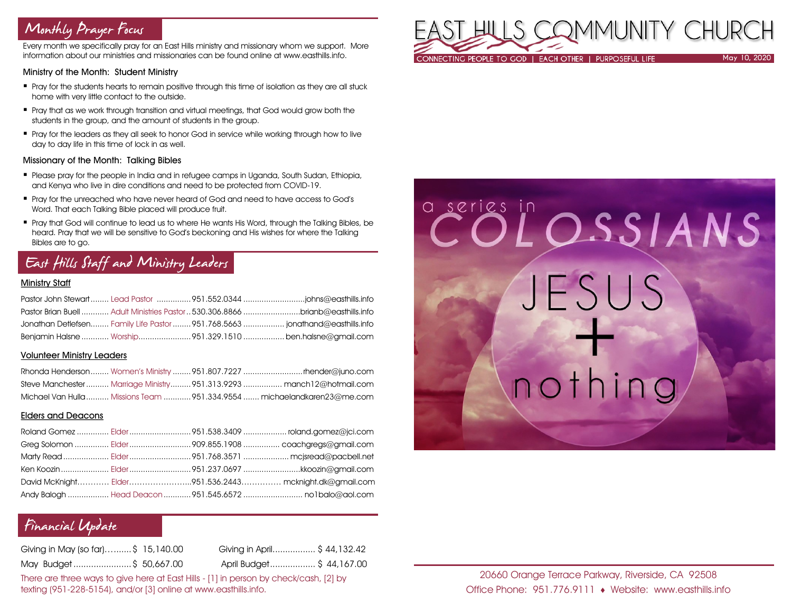# Monthly Prayer Focus

Every month we specifically pray for an East Hills ministry and missionary whom we support. More information about our ministries and missionaries can be found online at www.easthills.info.

#### Ministry of the Month: Student Ministry

- Pray for the students hearts to remain positive through this time of isolation as they are all stuck home with very little contact to the outside.
- Pray that as we work through transition and virtual meetings, that God would grow both the students in the group, and the amount of students in the group.
- Pray for the leaders as they all seek to honor God in service while working through how to live day to day life in this time of lock in as well.

#### Missionary of the Month: Talking Bibles

- Please pray for the people in India and in refugee camps in Uganda, South Sudan, Ethiopia, and Kenya who live in dire conditions and need to be protected from COVID-19.
- Pray for the unreached who have never heard of God and need to have access to God's Word. That each Talking Bible placed will produce fruit.
- Pray that God will continue to lead us to where He wants His Word, through the Talking Bibles, be heard. Pray that we will be sensitive to God's beckoning and His wishes for where the Talking Bibles are to go.

# East Hills Staff and Ministry Leaders

## Ministry Staff

| Pastor Brian Buell  Adult Ministries Pastor 530.306.8866 brianb@easthills.info |  |
|--------------------------------------------------------------------------------|--|
| Jonathan Detlefsen Family Life Pastor  951.768.5663  jonathand@easthills.info  |  |
| Benjamin Halsne  Worship951.329.1510  ben.halsne@gmail.com                     |  |

### Volunteer Ministry Leaders

|  | Steve Manchester  Marriage Ministry  951.313.9293  manch12@hotmail.com  |
|--|-------------------------------------------------------------------------|
|  | Michael Van Hulla  Missions Team 951.334.9554  michaelandkaren23@me.com |

### Elders and Deacons

|  | Ken Koozin  Elder 951.237.0697 kkoozin@gmail.com        |
|--|---------------------------------------------------------|
|  | David McKnight Elder951.536.2443 mcknight.dk@gmail.com  |
|  | Andy Balogh  Head Deacon  951.545.6572  no1balo@aol.com |

## Financial Update

| Giving in May (so far)\$ 15,140.00 | Giving in April \$44,132.42 |
|------------------------------------|-----------------------------|
| May Budget\$ 50,667.00             | April Budget\$ 44,167.00    |

There are three ways to give here at East Hills - [1] in person by check/cash, [2] by texting (951-228-5154), and/or [3] online at www.easthills.info.



# COLOSSIANS JESUS nothing